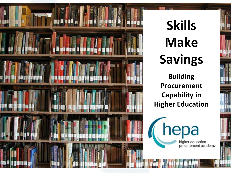

# **Skills Make Savings**

**Building Procurement Capability in Higher Education**

higher education<br>procurement academy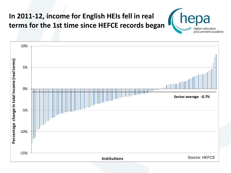## **In 2011-12, income for English HEIs fell in real terms for the 1st time since HEFCE records began**



procurement academy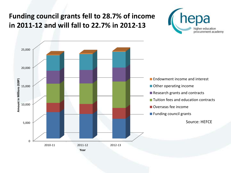#### **Funding council grants fell to 28.7% of income in 2011-12 and will fall to 22.7% in 2012-13**



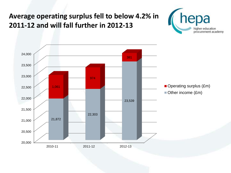#### **Average operating surplus fell to below 4.2% in 2011-12 and will fall further in 2012-13**



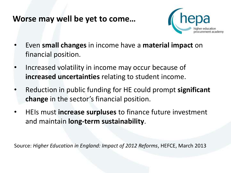#### **Worse may well be yet to come…**



- Even **small changes** in income have a **material impact** on financial position.
- Increased volatility in income may occur because of **increased uncertainties** relating to student income.
- Reduction in public funding for HE could prompt **significant change** in the sector's financial position.
- HEIs must **increase surpluses** to finance future investment and maintain **long-term sustainability**.

Source: *Higher Education in England: Impact of 2012 Reforms*, HEFCE, March 2013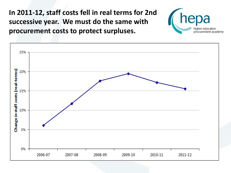**In 2011-12, staff costs fell in real terms for 2nd successive year. We must do the same with procurement costs to protect surpluses.**



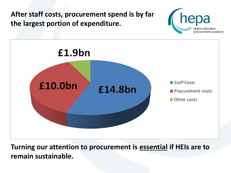**After staff costs, procurement spend is by far the largest portion of expenditure.**





**Turning our attention to procurement is essential if HEIs are to remain sustainable.**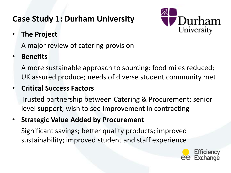# **Case Study 1: Durham University**



• **The Project**

A major review of catering provision

#### • **Benefits**

A more sustainable approach to sourcing: food miles reduced; UK assured produce; needs of diverse student community met

#### • **Critical Success Factors**

Trusted partnership between Catering & Procurement; senior level support; wish to see improvement in contracting

• **Strategic Value Added by Procurement**

Significant savings; better quality products; improved sustainability; improved student and staff experience

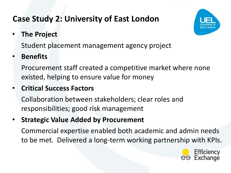# **Case Study 2: University of East London**



• **The Project**

Student placement management agency project

## • **Benefits**

Procurement staff created a competitive market where none existed, helping to ensure value for money

## • **Critical Success Factors**

Collaboration between stakeholders; clear roles and responsibilities; good risk management

• **Strategic Value Added by Procurement**

Commercial expertise enabled both academic and admin needs to be met. Delivered a long-term working partnership with KPIs.

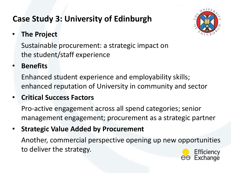# **Case Study 3: University of Edinburgh**



#### • **The Project**

Sustainable procurement: a strategic impact on the student/staff experience

#### • **Benefits**

Enhanced student experience and employability skills; enhanced reputation of University in community and sector

#### • **Critical Success Factors**

Pro-active engagement across all spend categories; senior management engagement; procurement as a strategic partner

• **Strategic Value Added by Procurement**

Another, commercial perspective opening up new opportunities to deliver the strategy.

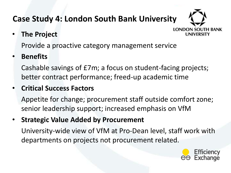# **Case Study 4: London South Bank University**

• **The Project**



Provide a proactive category management service

#### • **Benefits**

Cashable savings of £7m; a focus on student-facing projects; better contract performance; freed-up academic time

#### • **Critical Success Factors**

Appetite for change; procurement staff outside comfort zone; senior leadership support; increased emphasis on VfM

• **Strategic Value Added by Procurement**

University-wide view of VfM at Pro-Dean level, staff work with departments on projects not procurement related.

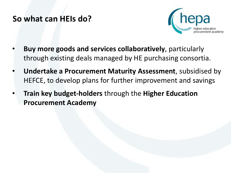## **So what can HEIs do?**



- **Buy more goods and services collaboratively**, particularly through existing deals managed by HE purchasing consortia.
- **Undertake a Procurement Maturity Assessment**, subsidised by HEFCE, to develop plans for further improvement and savings
- **Train key budget-holders** through the **Higher Education Procurement Academy**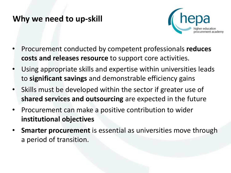#### **Why we need to up-skill**



- Procurement conducted by competent professionals **reduces costs and releases resource** to support core activities.
- Using appropriate skills and expertise within universities leads to **significant savings** and demonstrable efficiency gains
- Skills must be developed within the sector if greater use of **shared services and outsourcing** are expected in the future
- Procurement can make a positive contribution to wider **institutional objectives**
- **Smarter procurement** is essential as universities move through a period of transition.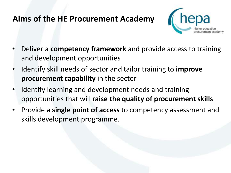## **Aims of the HE Procurement Academy**



- Deliver a **competency framework** and provide access to training and development opportunities
- Identify skill needs of sector and tailor training to **improve procurement capability** in the sector
- Identify learning and development needs and training opportunities that will **raise the quality of procurement skills**
- Provide a **single point of access** to competency assessment and skills development programme.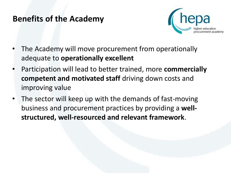#### **Benefits of the Academy**



- The Academy will move procurement from operationally adequate to **operationally excellent**
- Participation will lead to better trained, more **commercially competent and motivated staff** driving down costs and improving value
- The sector will keep up with the demands of fast-moving business and procurement practices by providing a **wellstructured, well-resourced and relevant framework**.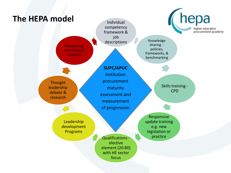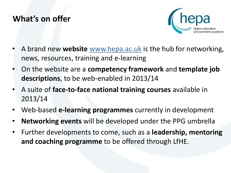## **What's on offer**



- A brand new **website** [www.hepa.ac.uk](http://www.hepa.ac.uk/) is the hub for networking, news, resources, training and e-learning
- On the website are a **competency framework** and **template job descriptions**, to be web-enabled in 2013/14
- A suite of **face-to-face national training courses** available in 2013/14
- Web-based **e-learning programmes** currently in development
- **Networking events** will be developed under the PPG umbrella
- Further developments to come, such as a **leadership, mentoring and coaching programme** to be offered through LfHE.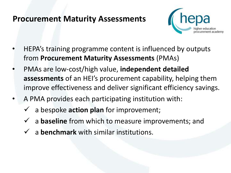## **Procurement Maturity Assessments**



- HEPA's training programme content is influenced by outputs from **Procurement Maturity Assessments** (PMAs)
- PMAs are low-cost/high value, **independent detailed assessments** of an HEI's procurement capability, helping them improve effectiveness and deliver significant efficiency savings.
- A PMA provides each participating institution with:
	- a bespoke **action plan** for improvement;
	- a **baseline** from which to measure improvements; and
	- $\checkmark$  a benchmark with similar institutions.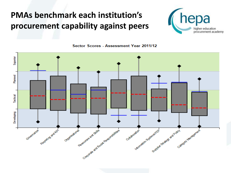# **PMAs benchmark each institution's procurement capability against peers**



Sector Scores - Assessment Year 2011/12